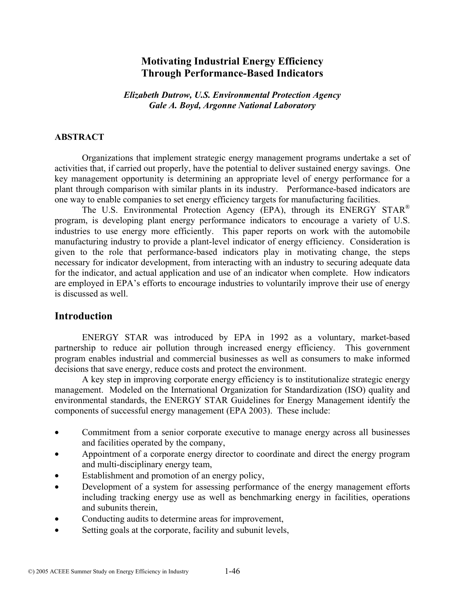# **Motivating Industrial Energy Efficiency Through Performance-Based Indicators**

*Elizabeth Dutrow, U.S. Environmental Protection Agency Gale A. Boyd, Argonne National Laboratory*

#### **ABSTRACT**

 Organizations that implement strategic energy management programs undertake a set of activities that, if carried out properly, have the potential to deliver sustained energy savings. One key management opportunity is determining an appropriate level of energy performance for a plant through comparison with similar plants in its industry. Performance-based indicators are one way to enable companies to set energy efficiency targets for manufacturing facilities.

The U.S. Environmental Protection Agency (EPA), through its ENERGY STAR<sup>®</sup> program, is developing plant energy performance indicators to encourage a variety of U.S. industries to use energy more efficiently. This paper reports on work with the automobile manufacturing industry to provide a plant-level indicator of energy efficiency. Consideration is given to the role that performance-based indicators play in motivating change, the steps necessary for indicator development, from interacting with an industry to securing adequate data for the indicator, and actual application and use of an indicator when complete. How indicators are employed in EPA's efforts to encourage industries to voluntarily improve their use of energy is discussed as well.

### **Introduction**

 ENERGY STAR was introduced by EPA in 1992 as a voluntary, market-based partnership to reduce air pollution through increased energy efficiency. This government program enables industrial and commercial businesses as well as consumers to make informed decisions that save energy, reduce costs and protect the environment.

 A key step in improving corporate energy efficiency is to institutionalize strategic energy management. Modeled on the International Organization for Standardization (ISO) quality and environmental standards, the ENERGY STAR Guidelines for Energy Management identify the components of successful energy management (EPA 2003). These include:

- Commitment from a senior corporate executive to manage energy across all businesses and facilities operated by the company,
- Appointment of a corporate energy director to coordinate and direct the energy program and multi-disciplinary energy team,
- Establishment and promotion of an energy policy,
- Development of a system for assessing performance of the energy management efforts including tracking energy use as well as benchmarking energy in facilities, operations and subunits therein,
- Conducting audits to determine areas for improvement,
- Setting goals at the corporate, facility and subunit levels,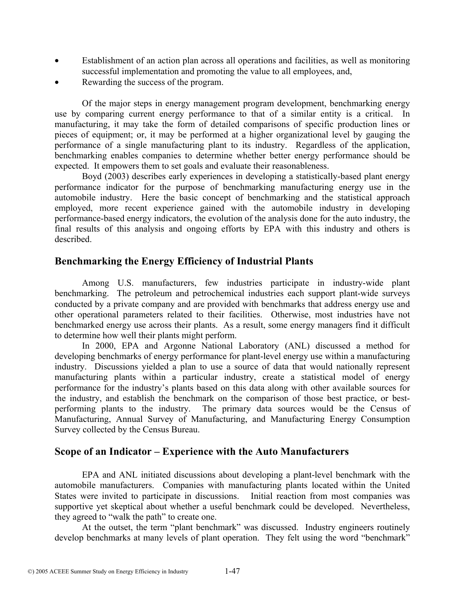- Establishment of an action plan across all operations and facilities, as well as monitoring successful implementation and promoting the value to all employees, and,
- Rewarding the success of the program.

 Of the major steps in energy management program development, benchmarking energy use by comparing current energy performance to that of a similar entity is a critical. In manufacturing, it may take the form of detailed comparisons of specific production lines or pieces of equipment; or, it may be performed at a higher organizational level by gauging the performance of a single manufacturing plant to its industry. Regardless of the application, benchmarking enables companies to determine whether better energy performance should be expected. It empowers them to set goals and evaluate their reasonableness.

 Boyd (2003) describes early experiences in developing a statistically-based plant energy performance indicator for the purpose of benchmarking manufacturing energy use in the automobile industry. Here the basic concept of benchmarking and the statistical approach employed, more recent experience gained with the automobile industry in developing performance-based energy indicators, the evolution of the analysis done for the auto industry, the final results of this analysis and ongoing efforts by EPA with this industry and others is described.

## **Benchmarking the Energy Efficiency of Industrial Plants**

 Among U.S. manufacturers, few industries participate in industry-wide plant benchmarking. The petroleum and petrochemical industries each support plant-wide surveys conducted by a private company and are provided with benchmarks that address energy use and other operational parameters related to their facilities. Otherwise, most industries have not benchmarked energy use across their plants. As a result, some energy managers find it difficult to determine how well their plants might perform.

 In 2000, EPA and Argonne National Laboratory (ANL) discussed a method for developing benchmarks of energy performance for plant-level energy use within a manufacturing industry. Discussions yielded a plan to use a source of data that would nationally represent manufacturing plants within a particular industry, create a statistical model of energy performance for the industry's plants based on this data along with other available sources for the industry, and establish the benchmark on the comparison of those best practice, or bestperforming plants to the industry. The primary data sources would be the Census of Manufacturing, Annual Survey of Manufacturing, and Manufacturing Energy Consumption Survey collected by the Census Bureau.

## **Scope of an Indicator – Experience with the Auto Manufacturers**

 EPA and ANL initiated discussions about developing a plant-level benchmark with the automobile manufacturers. Companies with manufacturing plants located within the United States were invited to participate in discussions. Initial reaction from most companies was supportive yet skeptical about whether a useful benchmark could be developed. Nevertheless, they agreed to "walk the path" to create one.

 At the outset, the term "plant benchmark" was discussed. Industry engineers routinely develop benchmarks at many levels of plant operation. They felt using the word "benchmark"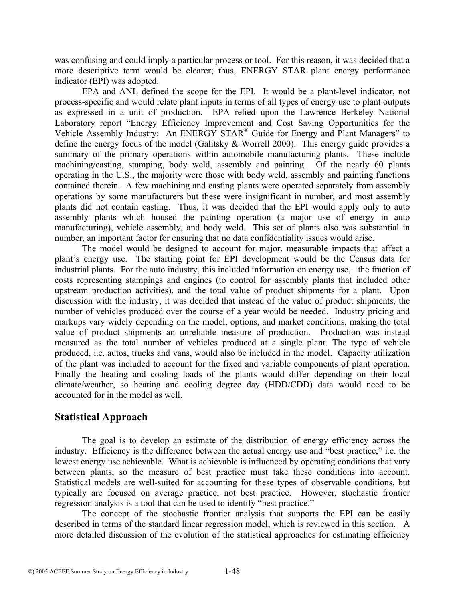was confusing and could imply a particular process or tool. For this reason, it was decided that a more descriptive term would be clearer; thus, ENERGY STAR plant energy performance indicator (EPI) was adopted.

 EPA and ANL defined the scope for the EPI. It would be a plant-level indicator, not process-specific and would relate plant inputs in terms of all types of energy use to plant outputs as expressed in a unit of production. EPA relied upon the Lawrence Berkeley National Laboratory report "Energy Efficiency Improvement and Cost Saving Opportunities for the Vehicle Assembly Industry: An ENERGY STAR® Guide for Energy and Plant Managers" to define the energy focus of the model (Galitsky & Worrell 2000). This energy guide provides a summary of the primary operations within automobile manufacturing plants. These include machining/casting, stamping, body weld, assembly and painting. Of the nearly 60 plants operating in the U.S., the majority were those with body weld, assembly and painting functions contained therein. A few machining and casting plants were operated separately from assembly operations by some manufacturers but these were insignificant in number, and most assembly plants did not contain casting. Thus, it was decided that the EPI would apply only to auto assembly plants which housed the painting operation (a major use of energy in auto manufacturing), vehicle assembly, and body weld. This set of plants also was substantial in number, an important factor for ensuring that no data confidentiality issues would arise.

 The model would be designed to account for major, measurable impacts that affect a plant's energy use. The starting point for EPI development would be the Census data for industrial plants. For the auto industry, this included information on energy use, the fraction of costs representing stampings and engines (to control for assembly plants that included other upstream production activities), and the total value of product shipments for a plant. Upon discussion with the industry, it was decided that instead of the value of product shipments, the number of vehicles produced over the course of a year would be needed. Industry pricing and markups vary widely depending on the model, options, and market conditions, making the total value of product shipments an unreliable measure of production. Production was instead measured as the total number of vehicles produced at a single plant. The type of vehicle produced, i.e. autos, trucks and vans, would also be included in the model. Capacity utilization of the plant was included to account for the fixed and variable components of plant operation. Finally the heating and cooling loads of the plants would differ depending on their local climate/weather, so heating and cooling degree day (HDD/CDD) data would need to be accounted for in the model as well.

## **Statistical Approach**

The goal is to develop an estimate of the distribution of energy efficiency across the industry. Efficiency is the difference between the actual energy use and "best practice," i.e. the lowest energy use achievable. What is achievable is influenced by operating conditions that vary between plants, so the measure of best practice must take these conditions into account. Statistical models are well-suited for accounting for these types of observable conditions, but typically are focused on average practice, not best practice. However, stochastic frontier regression analysis is a tool that can be used to identify "best practice."

The concept of the stochastic frontier analysis that supports the EPI can be easily described in terms of the standard linear regression model, which is reviewed in this section. A more detailed discussion of the evolution of the statistical approaches for estimating efficiency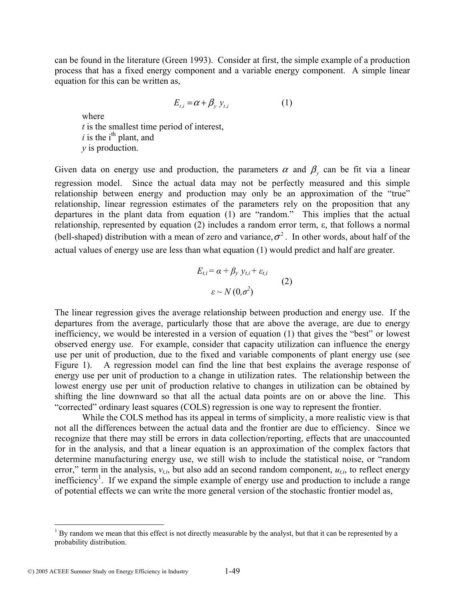can be found in the literature (Green 1993). Consider at first, the simple example of a production process that has a fixed energy component and a variable energy component. A simple linear equation for this can be written as,

$$
E_{t,i} = \alpha + \beta_{y} y_{t,i} \tag{1}
$$

where *t* is the smallest time period of interest,  $i$  is the i<sup>th</sup> plant, and *y* is production.

Given data on energy use and production, the parameters  $\alpha$  and  $\beta$ <sub>y</sub> can be fit via a linear regression model. Since the actual data may not be perfectly measured and this simple relationship between energy and production may only be an approximation of the "true" relationship, linear regression estimates of the parameters rely on the proposition that any departures in the plant data from equation (1) are "random." This implies that the actual relationship, represented by equation (2) includes a random error term, ε, that follows a normal (bell-shaped) distribution with a mean of zero and variance,  $\sigma^2$ . In other words, about half of the actual values of energy use are less than what equation (1) would predict and half are greater.

$$
E_{t,i} = \alpha + \beta_{y} y_{t,i} + \varepsilon_{t,i}
$$
  
\n
$$
\varepsilon \sim N(0, \sigma^{2})
$$
 (2)

The linear regression gives the average relationship between production and energy use. If the departures from the average, particularly those that are above the average, are due to energy inefficiency, we would be interested in a version of equation (1) that gives the "best" or lowest observed energy use. For example, consider that capacity utilization can influence the energy use per unit of production, due to the fixed and variable components of plant energy use (see Figure 1). A regression model can find the line that best explains the average response of energy use per unit of production to a change in utilization rates. The relationship between the lowest energy use per unit of production relative to changes in utilization can be obtained by shifting the line downward so that all the actual data points are on or above the line. This "corrected" ordinary least squares (COLS) regression is one way to represent the frontier.

While the COLS method has its appeal in terms of simplicity, a more realistic view is that not all the differences between the actual data and the frontier are due to efficiency. Since we recognize that there may still be errors in data collection/reporting, effects that are unaccounted for in the analysis, and that a linear equation is an approximation of the complex factors that determine manufacturing energy use, we still wish to include the statistical noise, or "random error," term in the analysis,  $v_{t,i}$ , but also add an second random component,  $u_{t,i}$ , to reflect energy inefficiency<sup>1</sup>. If we expand the simple example of energy use and production to include a range of potential effects we can write the more general version of the stochastic frontier model as,

<sup>&</sup>lt;sup>1</sup> By random we mean that this effect is not directly measurable by the analyst, but that it can be represented by a probability distribution.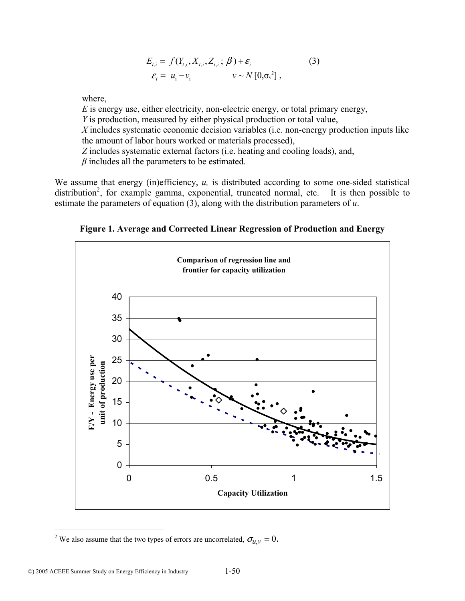$$
E_{t,i} = f(Y_{t,i}, X_{t,i}, Z_{t,i}; \beta) + \varepsilon_i
$$
  
\n
$$
\varepsilon_i = u_i - v_i \qquad \qquad v \sim N[0, \sigma_v^2],
$$
\n(3)

where,

*E* is energy use, either electricity, non-electric energy, or total primary energy, *Y* is production, measured by either physical production or total value, *X* includes systematic economic decision variables (i.e. non-energy production inputs like the amount of labor hours worked or materials processed), *Z* includes systematic external factors (i.e. heating and cooling loads), and, *β* includes all the parameters to be estimated.

We assume that energy (in)efficiency, *u*, is distributed according to some one-sided statistical distribution<sup>2</sup>, for example gamma, exponential, truncated normal, etc. It is then possible to estimate the parameters of equation (3), along with the distribution parameters of *u*.

**Figure 1. Average and Corrected Linear Regression of Production and Energy** 



<sup>&</sup>lt;sup>2</sup> We also assume that the two types of errors are uncorrelated,  $\sigma_{u,v} = 0$ .

 $\overline{a}$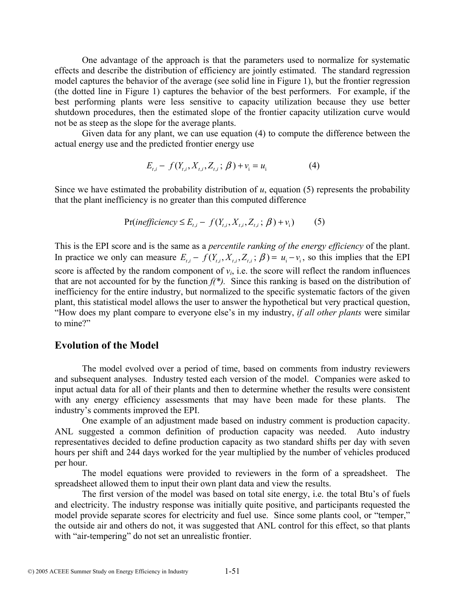One advantage of the approach is that the parameters used to normalize for systematic effects and describe the distribution of efficiency are jointly estimated. The standard regression model captures the behavior of the average (see solid line in Figure 1), but the frontier regression (the dotted line in Figure 1) captures the behavior of the best performers. For example, if the best performing plants were less sensitive to capacity utilization because they use better shutdown procedures, then the estimated slope of the frontier capacity utilization curve would not be as steep as the slope for the average plants.

Given data for any plant, we can use equation (4) to compute the difference between the actual energy use and the predicted frontier energy use

$$
E_{t,i} - f(Y_{t,i}, X_{t,i}, Z_{t,i}; \beta) + v_i = u_i
$$
 (4)

Since we have estimated the probability distribution of *u*, equation (5) represents the probability that the plant inefficiency is no greater than this computed difference

$$
Pr(inefficiency \le E_{t,i} - f(Y_{t,i}, X_{t,i}, Z_{t,i}; \beta) + v_i)
$$
 (5)

This is the EPI score and is the same as a *percentile ranking of the energy efficiency* of the plant. In practice we only can measure  $E_{t,i} - f(Y_{t,i}, X_{t,i}, Z_{t,i}; \beta) = u_i - v_i$ , so this implies that the EPI score is affected by the random component of  $v_i$ , i.e. the score will reflect the random influences that are not accounted for by the function  $f(\cdot)$ . Since this ranking is based on the distribution of inefficiency for the entire industry, but normalized to the specific systematic factors of the given plant, this statistical model allows the user to answer the hypothetical but very practical question, "How does my plant compare to everyone else's in my industry, *if all other plants* were similar to mine?"

#### **Evolution of the Model**

 The model evolved over a period of time, based on comments from industry reviewers and subsequent analyses. Industry tested each version of the model. Companies were asked to input actual data for all of their plants and then to determine whether the results were consistent with any energy efficiency assessments that may have been made for these plants. The industry's comments improved the EPI.

 One example of an adjustment made based on industry comment is production capacity. ANL suggested a common definition of production capacity was needed. Auto industry representatives decided to define production capacity as two standard shifts per day with seven hours per shift and 244 days worked for the year multiplied by the number of vehicles produced per hour.

 The model equations were provided to reviewers in the form of a spreadsheet. The spreadsheet allowed them to input their own plant data and view the results.

The first version of the model was based on total site energy, i.e. the total Btu's of fuels and electricity. The industry response was initially quite positive, and participants requested the model provide separate scores for electricity and fuel use. Since some plants cool, or "temper," the outside air and others do not, it was suggested that ANL control for this effect, so that plants with "air-tempering" do not set an unrealistic frontier.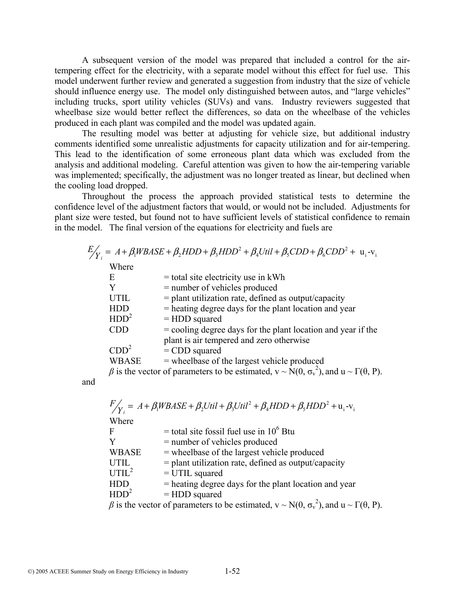A subsequent version of the model was prepared that included a control for the airtempering effect for the electricity, with a separate model without this effect for fuel use. This model underwent further review and generated a suggestion from industry that the size of vehicle should influence energy use. The model only distinguished between autos, and "large vehicles" including trucks, sport utility vehicles (SUVs) and vans. Industry reviewers suggested that wheelbase size would better reflect the differences, so data on the wheelbase of the vehicles produced in each plant was compiled and the model was updated again.

The resulting model was better at adjusting for vehicle size, but additional industry comments identified some unrealistic adjustments for capacity utilization and for air-tempering. This lead to the identification of some erroneous plant data which was excluded from the analysis and additional modeling. Careful attention was given to how the air-tempering variable was implemented; specifically, the adjustment was no longer treated as linear, but declined when the cooling load dropped.

Throughout the process the approach provided statistical tests to determine the confidence level of the adjustment factors that would, or would not be included. Adjustments for plant size were tested, but found not to have sufficient levels of statistical confidence to remain in the model. The final version of the equations for electricity and fuels are

|                  | $E'_{\mathcal{N}} = A + \beta_1 W B A S E + \beta_2 H D D + \beta_3 H D D^2 + \beta_4 U t i l + \beta_5 C D D + \beta_6 C D D^2 + u_i - v_i$ |
|------------------|----------------------------------------------------------------------------------------------------------------------------------------------|
| Where            |                                                                                                                                              |
| E                | $=$ total site electricity use in kWh                                                                                                        |
| Y                | = number of vehicles produced                                                                                                                |
| <b>UTIL</b>      | $=$ plant utilization rate, defined as output/capacity                                                                                       |
| <b>HDD</b>       | = heating degree days for the plant location and year                                                                                        |
| HDD <sup>2</sup> | $=$ HDD squared                                                                                                                              |
| <b>CDD</b>       | $=$ cooling degree days for the plant location and year if the                                                                               |
|                  | plant is air tempered and zero otherwise                                                                                                     |
| CDD <sup>2</sup> | $=$ CDD squared                                                                                                                              |
| <b>WBASE</b>     | = wheelbase of the largest vehicle produced                                                                                                  |
|                  | $\beta$ is the vector of parameters to be estimated, $v \sim N(0, \sigma_v^2)$ , and $u \sim \Gamma(\theta, P)$ .                            |

and

|                   | $F/_{\text{Y}} = A + \beta_1 W B A S E + \beta_2 U t i l + \beta_3 U t i l^2 + \beta_4 H D D + \beta_5 H D D^2 + u_i - v_i$ |
|-------------------|-----------------------------------------------------------------------------------------------------------------------------|
| Where             |                                                                                                                             |
| $\mathbf F$       | $=$ total site fossil fuel use in 10 <sup>6</sup> Btu                                                                       |
|                   | $=$ number of vehicles produced                                                                                             |
| <b>WBASE</b>      | = wheelbase of the largest vehicle produced                                                                                 |
| <b>UTIL</b>       | $=$ plant utilization rate, defined as output/capacity                                                                      |
| UTIL <sup>2</sup> | $=$ UTIL squared                                                                                                            |
| <b>HDD</b>        | $=$ heating degree days for the plant location and year                                                                     |
| HDD <sup>2</sup>  | $=$ HDD squared                                                                                                             |
|                   | $\beta$ is the vector of parameters to be estimated, $v \sim N(0, \sigma_v^2)$ , and $u \sim \Gamma(\theta, P)$ .           |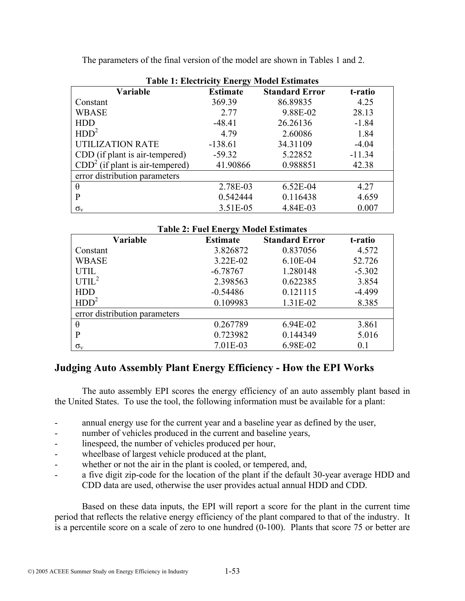| <b>Table 1: Electricity Energy Model Estimates</b> |                 |                       |          |  |  |  |
|----------------------------------------------------|-----------------|-----------------------|----------|--|--|--|
| Variable                                           | <b>Estimate</b> | <b>Standard Error</b> | t-ratio  |  |  |  |
| Constant                                           | 369.39          | 86.89835              | 4.25     |  |  |  |
| <b>WBASE</b>                                       | 2.77            | 9.88E-02              | 28.13    |  |  |  |
| <b>HDD</b>                                         | $-48.41$        | 26.26136              | $-1.84$  |  |  |  |
| HDD <sup>2</sup>                                   | 4.79            | 2.60086               | 1.84     |  |  |  |
| <b>UTILIZATION RATE</b>                            | $-138.61$       | 34.31109              | $-4.04$  |  |  |  |
| CDD (if plant is air-tempered)                     | $-59.32$        | 5.22852               | $-11.34$ |  |  |  |
| $CDD2$ (if plant is air-tempered)                  | 41.90866        | 0.988851              | 42.38    |  |  |  |
| error distribution parameters                      |                 |                       |          |  |  |  |
| $\theta$                                           | 2.78E-03        | $6.52E-04$            | 4.27     |  |  |  |
| P                                                  | 0.542444        | 0.116438              | 4.659    |  |  |  |
| $\sigma_{\rm v}$                                   | 3.51E-05        | 4.84E-03              | 0.007    |  |  |  |

The parameters of the final version of the model are shown in Tables 1 and 2.

| <b>Table 2: Fuel Energy Model Estimates</b> |                 |                       |          |  |  |  |
|---------------------------------------------|-----------------|-----------------------|----------|--|--|--|
| <b>Variable</b>                             | <b>Estimate</b> | <b>Standard Error</b> | t-ratio  |  |  |  |
| Constant                                    | 3.826872        | 0.837056              | 4.572    |  |  |  |
| <b>WBASE</b>                                | 3.22E-02        | $6.10E-04$            | 52.726   |  |  |  |
| <b>UTIL</b>                                 | $-6.78767$      | 1.280148              | $-5.302$ |  |  |  |
| UTIL <sup>2</sup>                           | 2.398563        | 0.622385              | 3.854    |  |  |  |
| <b>HDD</b>                                  | $-0.54486$      | 0.121115              | $-4.499$ |  |  |  |
| HDD <sup>2</sup>                            | 0.109983        | 1.31E-02              | 8.385    |  |  |  |
| error distribution parameters               |                 |                       |          |  |  |  |
| $\theta$                                    | 0.267789        | 6.94E-02              | 3.861    |  |  |  |
| P                                           | 0.723982        | 0.144349              | 5.016    |  |  |  |
| $\sigma_{\rm v}$                            | 7.01E-03        | 6.98E-02              | 0.1      |  |  |  |

## **Judging Auto Assembly Plant Energy Efficiency - How the EPI Works**

 The auto assembly EPI scores the energy efficiency of an auto assembly plant based in the United States. To use the tool, the following information must be available for a plant:

- annual energy use for the current year and a baseline year as defined by the user,
- number of vehicles produced in the current and baseline years,
- linespeed, the number of vehicles produced per hour,
- wheelbase of largest vehicle produced at the plant,
- whether or not the air in the plant is cooled, or tempered, and,
- a five digit zip-code for the location of the plant if the default 30-year average HDD and CDD data are used, otherwise the user provides actual annual HDD and CDD.

Based on these data inputs, the EPI will report a score for the plant in the current time period that reflects the relative energy efficiency of the plant compared to that of the industry. It is a percentile score on a scale of zero to one hundred (0-100). Plants that score 75 or better are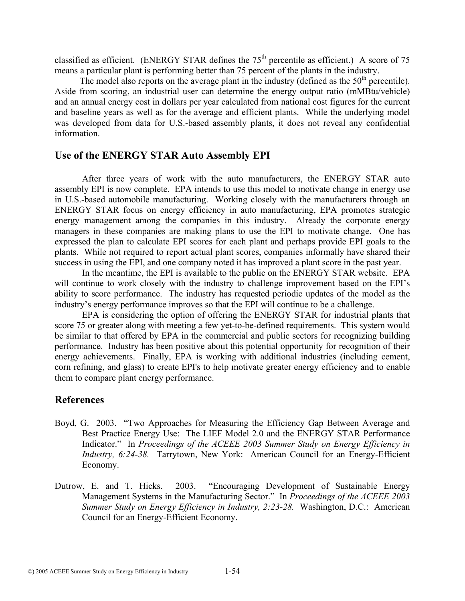classified as efficient. (ENERGY STAR defines the  $75<sup>th</sup>$  percentile as efficient.) A score of 75 means a particular plant is performing better than 75 percent of the plants in the industry.

The model also reports on the average plant in the industry (defined as the  $50<sup>th</sup>$  percentile). Aside from scoring, an industrial user can determine the energy output ratio (mMBtu/vehicle) and an annual energy cost in dollars per year calculated from national cost figures for the current and baseline years as well as for the average and efficient plants. While the underlying model was developed from data for U.S.-based assembly plants, it does not reveal any confidential information.

### **Use of the ENERGY STAR Auto Assembly EPI**

 After three years of work with the auto manufacturers, the ENERGY STAR auto assembly EPI is now complete. EPA intends to use this model to motivate change in energy use in U.S.-based automobile manufacturing. Working closely with the manufacturers through an ENERGY STAR focus on energy efficiency in auto manufacturing, EPA promotes strategic energy management among the companies in this industry. Already the corporate energy managers in these companies are making plans to use the EPI to motivate change. One has expressed the plan to calculate EPI scores for each plant and perhaps provide EPI goals to the plants. While not required to report actual plant scores, companies informally have shared their success in using the EPI, and one company noted it has improved a plant score in the past year.

 In the meantime, the EPI is available to the public on the ENERGY STAR website. EPA will continue to work closely with the industry to challenge improvement based on the EPI's ability to score performance. The industry has requested periodic updates of the model as the industry's energy performance improves so that the EPI will continue to be a challenge.

 EPA is considering the option of offering the ENERGY STAR for industrial plants that score 75 or greater along with meeting a few yet-to-be-defined requirements. This system would be similar to that offered by EPA in the commercial and public sectors for recognizing building performance. Industry has been positive about this potential opportunity for recognition of their energy achievements. Finally, EPA is working with additional industries (including cement, corn refining, and glass) to create EPI's to help motivate greater energy efficiency and to enable them to compare plant energy performance.

### **References**

- Boyd, G. 2003. "Two Approaches for Measuring the Efficiency Gap Between Average and Best Practice Energy Use: The LIEF Model 2.0 and the ENERGY STAR Performance Indicator." In *Proceedings of the ACEEE 2003 Summer Study on Energy Efficiency in Industry, 6:24-38.* Tarrytown, New York: American Council for an Energy-Efficient Economy.
- Dutrow, E. and T. Hicks. 2003. "Encouraging Development of Sustainable Energy Management Systems in the Manufacturing Sector." In *Proceedings of the ACEEE 2003 Summer Study on Energy Efficiency in Industry, 2:23-28.* Washington, D.C.: American Council for an Energy-Efficient Economy.